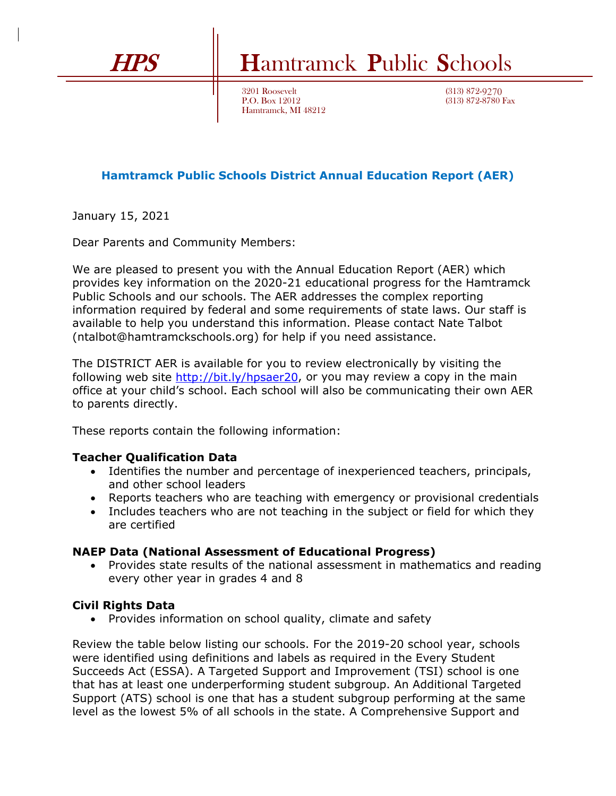# HPS Hamtramck Public Schools

3201 Roosevelt P.O. Box 12012 Hamtramck, MI 48212

(313) 872-9270 (313) 872-8780 Fax

## **Hamtramck Public Schools District Annual Education Report (AER)**

January 15, 2021

Dear Parents and Community Members:

We are pleased to present you with the Annual Education Report (AER) which provides key information on the 2020-21 educational progress for the Hamtramck Public Schools and our schools. The AER addresses the complex reporting information required by federal and some requirements of state laws. Our staff is available to help you understand this information. Please contact Nate Talbot (ntalbot@hamtramckschools.org) for help if you need assistance.

The DISTRICT AER is available for you to review electronically by visiting the following web site [http://bit.ly/hpsaer20,](http://bit.ly/hpsaer20) or you may review a copy in the main office at your child's school. Each school will also be communicating their own AER to parents directly.

These reports contain the following information:

#### **Teacher Qualification Data**

- Identifies the number and percentage of inexperienced teachers, principals, and other school leaders
- Reports teachers who are teaching with emergency or provisional credentials
- Includes teachers who are not teaching in the subject or field for which they are certified

#### **NAEP Data (National Assessment of Educational Progress)**

• Provides state results of the national assessment in mathematics and reading every other year in grades 4 and 8

### **Civil Rights Data**

• Provides information on school quality, climate and safety

Review the table below listing our schools. For the 2019-20 school year, schools were identified using definitions and labels as required in the Every Student Succeeds Act (ESSA). A Targeted Support and Improvement (TSI) school is one that has at least one underperforming student subgroup. An Additional Targeted Support (ATS) school is one that has a student subgroup performing at the same level as the lowest 5% of all schools in the state. A Comprehensive Support and